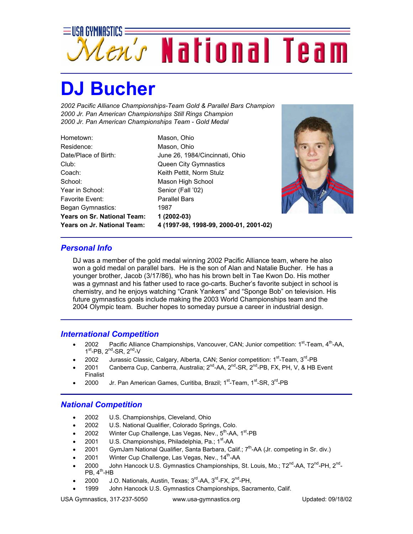

## **DJ Bucher**

*2002 Pacific Alliance Championships-Team Gold & Parallel Bars Champion 2000 Jr. Pan American Championships Still Rings Champion 2000 Jr. Pan American Championships Team - Gold Medal*

Hometown: Mason, Ohio Residence: Mason, Ohio Club: Queen City Gymnastics Coach: Keith Pettit, Norm Stulz School: Mason High School Year in School: Senior (Fall '02) Favorite Event: Parallel Bars Began Gymnastics: 1987 **Years on Sr. National Team: 1 (2002-03)**

Date/Place of Birth: June 26, 1984/Cincinnati, Ohio **Years on Jr. National Team: 4 (1997-98, 1998-99, 2000-01, 2001-02)**



## *Personal Info*

DJ was a member of the gold medal winning 2002 Pacific Alliance team, where he also won a gold medal on parallel bars. He is the son of Alan and Natalie Bucher. He has a younger brother, Jacob (3/17/86), who has his brown belt in Tae Kwon Do. His mother was a gymnast and his father used to race go-carts. Bucher's favorite subject in school is chemistry, and he enjoys watching "Crank Yankers" and "Sponge Bob" on television. His future gymnastics goals include making the 2003 World Championships team and the 2004 Olympic team. Bucher hopes to someday pursue a career in industrial design.

## *International Competition*

- 2002 Pacific Alliance Championships, Vancouver, CAN; Junior competition:  $1^{st}$ -Team,  $4^{th}$ -AA,  $1<sup>st</sup>$ -PB,  $2<sup>nd</sup>$ -SR,  $2<sup>nd</sup>$ -V
- 2002 Jurassic Classic, Calgary, Alberta, CAN; Senior competition: 1<sup>st</sup>-Team, 3<sup>rd</sup>-PB
- 2001 Canberra Cup, Canberra, Australia; 2<sup>nd</sup>-AA, 2<sup>nd</sup>-SR, 2<sup>nd</sup>-PB, FX, PH, V, & HB Event Finalist
- 2000 Jr. Pan American Games, Curitiba, Brazil; 1<sup>st</sup>-Team, 1<sup>st</sup>-SR, 3<sup>rd</sup>-PB

## *National Competition*

- 2002 U.S. Championships, Cleveland, Ohio
- 2002 U.S. National Qualifier, Colorado Springs, Colo.
- 2002 Winter Cup Challenge, Las Vegas, Nev.,  $5<sup>th</sup>$ -AA, 1<sup>st</sup>-PB
- 2001 U.S. Championships, Philadelphia, Pa.; 1<sup>st</sup>-AA
- 2001 GymJam National Qualifier, Santa Barbara, Calif.;  $7<sup>th</sup>$ -AA (Jr. competing in Sr. div.)
- 2001 Winter Cup Challenge, Las Vegas, Nev., 14<sup>th</sup>-AA
- 2000 John Hancock U.S. Gymnastics Championships, St. Louis, Mo.; T2<sup>nd</sup>-AA, T2<sup>nd</sup>-PH, 2<sup>nd</sup>- $PB, 4<sup>th</sup>$ -HB
- 2000 J.O. Nationals, Austin, Texas; 3<sup>rd</sup>-AA, 3<sup>rd</sup>-FX, 2<sup>nd</sup>-PH,
- 1999 John Hancock U.S. Gymnastics Championships, Sacramento, Calif.